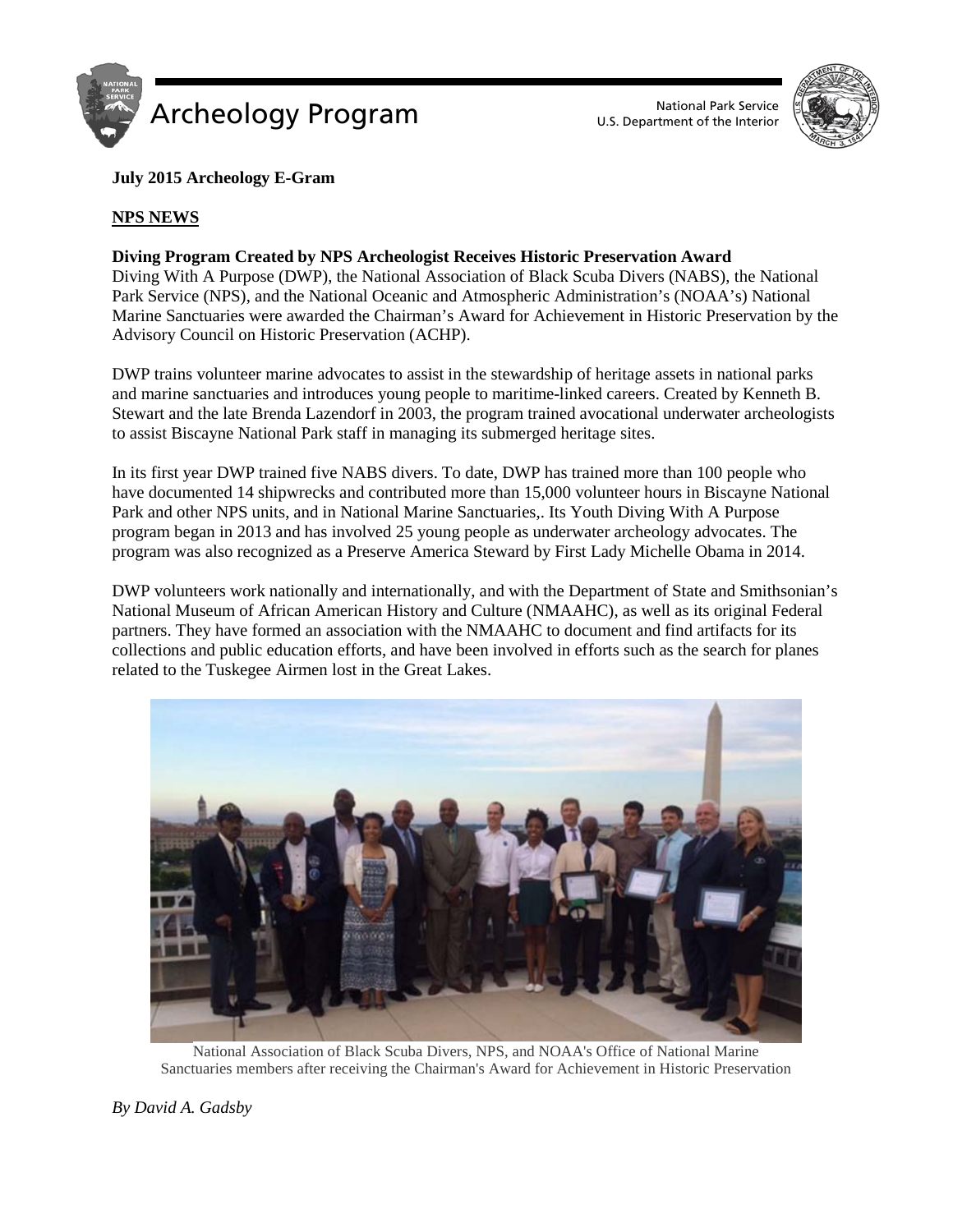



# **July 2015 Archeology E-Gram**

# **NPS NEWS**

# **Diving Program Created by NPS Archeologist Receives Historic Preservation Award**

Diving With A Purpose (DWP), the National Association of Black Scuba Divers (NABS), the National Park Service (NPS), and the National Oceanic and Atmospheric Administration's (NOAA's) National Marine Sanctuaries were awarded the Chairman's Award for Achievement in Historic Preservation by the Advisory Council on Historic Preservation (ACHP).

DWP trains volunteer marine advocates to assist in the stewardship of heritage assets in national parks and marine sanctuaries and introduces young people to maritime-linked careers. Created by Kenneth B. Stewart and the late Brenda Lazendorf in 2003, the program trained avocational underwater archeologists to assist Biscayne National Park staff in managing its submerged heritage sites.

In its first year DWP trained five NABS divers. To date, DWP has trained more than 100 people who have documented 14 shipwrecks and contributed more than 15,000 volunteer hours in Biscayne National Park and other NPS units, and in National Marine Sanctuaries,. Its Youth Diving With A Purpose program began in 2013 and has involved 25 young people as underwater archeology advocates. The program was also recognized as a Preserve America Steward by First Lady Michelle Obama in 2014.

DWP volunteers work nationally and internationally, and with the Department of State and Smithsonian's National Museum of African American History and Culture (NMAAHC), as well as its original Federal partners. They have formed an association with the NMAAHC to document and find artifacts for its collections and public education efforts, and have been involved in efforts such as the search for planes related to the Tuskegee Airmen lost in the Great Lakes.



National Association of Black Scuba Divers, NPS, and NOAA's Office of National Marine Sanctuaries members after receiving the Chairman's Award for Achievement in Historic Preservation

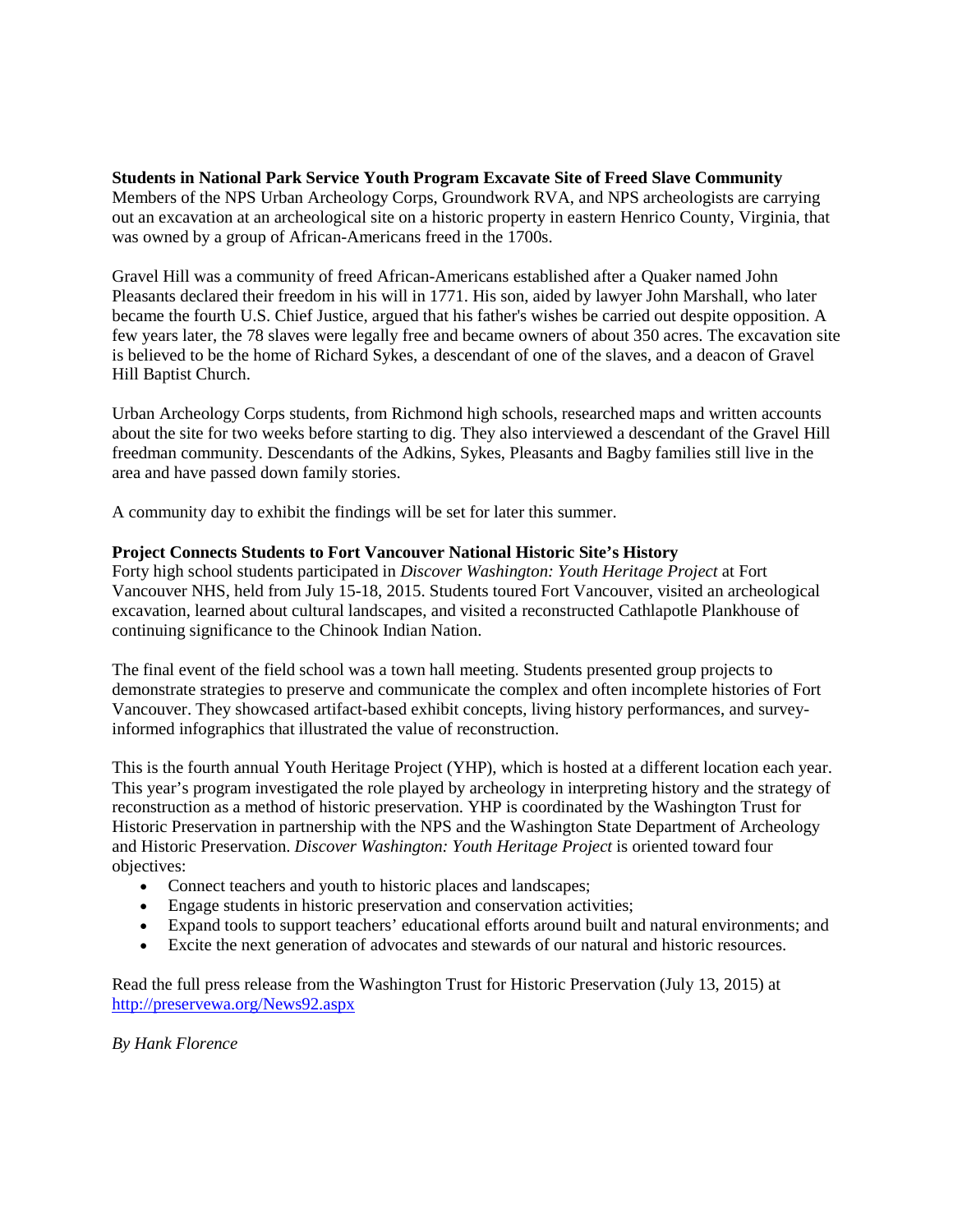## **Students in National Park Service Youth Program Excavate Site of Freed Slave Community**

Members of the NPS Urban Archeology Corps, Groundwork RVA, and NPS archeologists are carrying out an excavation at an archeological site on a historic property in eastern Henrico County, Virginia, that was owned by a group of African-Americans freed in the 1700s.

Gravel Hill was a community of freed African-Americans established after a Quaker named John Pleasants declared their freedom in his will in 1771. His son, aided by lawyer John Marshall, who later became the fourth U.S. Chief Justice, argued that his father's wishes be carried out despite opposition. A few years later, the 78 slaves were legally free and became owners of about 350 acres. The excavation site is believed to be the home of Richard Sykes, a descendant of one of the slaves, and a deacon of Gravel Hill Baptist Church.

Urban Archeology Corps students, from Richmond high schools, researched maps and written accounts about the site for two weeks before starting to dig. They also interviewed a descendant of the Gravel Hill freedman community. Descendants of the Adkins, Sykes, Pleasants and Bagby families still live in the area and have passed down family stories.

A community day to exhibit the findings will be set for later this summer.

# **Project Connects Students to Fort Vancouver National Historic Site's History**

Forty high school students participated in *Discover Washington: Youth Heritage Project* at Fort Vancouver NHS, held from July 15-18, 2015. Students toured Fort Vancouver, visited an archeological excavation, learned about cultural landscapes, and visited a reconstructed Cathlapotle Plankhouse of continuing significance to the Chinook Indian Nation.

The final event of the field school was a town hall meeting. Students presented group projects to demonstrate strategies to preserve and communicate the complex and often incomplete histories of Fort Vancouver. They showcased artifact-based exhibit concepts, living history performances, and surveyinformed infographics that illustrated the value of reconstruction.

This is the fourth annual Youth Heritage Project (YHP), which is hosted at a different location each year. This year's program investigated the role played by archeology in interpreting history and the strategy of reconstruction as a method of historic preservation. YHP is coordinated by the Washington Trust for Historic Preservation in partnership with the NPS and the Washington State Department of Archeology and Historic Preservation. *Discover Washington: Youth Heritage Project* is oriented toward four objectives:

- Connect teachers and youth to historic places and landscapes;
- Engage students in historic preservation and conservation activities;
- Expand tools to support teachers' educational efforts around built and natural environments; and
- Excite the next generation of advocates and stewards of our natural and historic resources.

Read the full press release from the Washington Trust for Historic Preservation (July 13, 2015) at <http://preservewa.org/News92.aspx>

*By Hank Florence*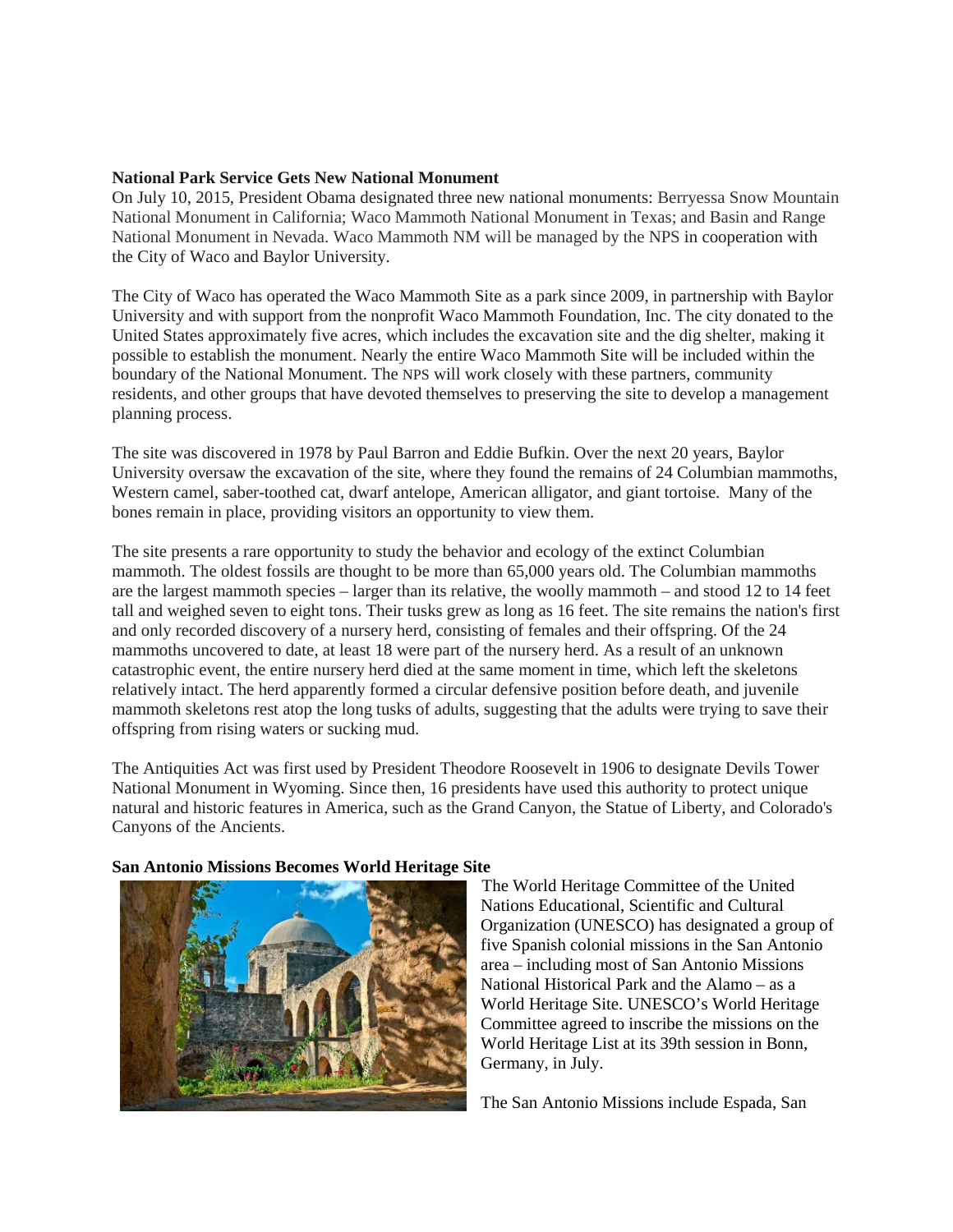#### **National Park Service Gets New National Monument**

On July 10, 2015, President Obama designated three new national monuments: Berryessa Snow Mountain National Monument in California; Waco Mammoth National Monument in Texas; and Basin and Range National Monument in Nevada. Waco Mammoth NM will be managed by the NPS in cooperation with the City of Waco and Baylor University.

The City of Waco has operated the Waco Mammoth Site as a park since 2009, in partnership with Baylor University and with support from the nonprofit Waco Mammoth Foundation, Inc. The city donated to the United States approximately five acres, which includes the excavation site and the dig shelter, making it possible to establish the monument. Nearly the entire Waco Mammoth Site will be included within the boundary of the National Monument. The NPS will work closely with these partners, community residents, and other groups that have devoted themselves to preserving the site to develop a management planning process.

The site was discovered in 1978 by Paul Barron and Eddie Bufkin. Over the next 20 years, Baylor University oversaw the excavation of the site, where they found the remains of 24 Columbian mammoths, Western camel, saber-toothed cat, dwarf antelope, American alligator, and giant tortoise. Many of the bones remain in place, providing visitors an opportunity to view them.

The site presents a rare opportunity to study the behavior and ecology of the extinct Columbian mammoth. The oldest fossils are thought to be more than 65,000 years old. The Columbian mammoths are the largest mammoth species – larger than its relative, the woolly mammoth – and stood 12 to 14 feet tall and weighed seven to eight tons. Their tusks grew as long as 16 feet. The site remains the nation's first and only recorded discovery of a nursery herd, consisting of females and their offspring. Of the 24 mammoths uncovered to date, at least 18 were part of the nursery herd. As a result of an unknown catastrophic event, the entire nursery herd died at the same moment in time, which left the skeletons relatively intact. The herd apparently formed a circular defensive position before death, and juvenile mammoth skeletons rest atop the long tusks of adults, suggesting that the adults were trying to save their offspring from rising waters or sucking mud.

The Antiquities Act was first used by President Theodore Roosevelt in 1906 to designate Devils Tower National Monument in Wyoming. Since then, 16 presidents have used this authority to protect unique natural and historic features in America, such as the Grand Canyon, the Statue of Liberty, and Colorado's Canyons of the Ancients.



#### **San Antonio Missions Becomes World Heritage Site**

The World Heritage Committee of the United Nations Educational, Scientific and Cultural Organization (UNESCO) has designated a group of five Spanish colonial missions in the San Antonio area – including most of San Antonio Missions National Historical Park and the Alamo – as a World Heritage Site. UNESCO's World Heritage Committee agreed to inscribe the missions on the World Heritage List at its 39th session in Bonn, Germany, in July.

The San Antonio Missions include Espada, San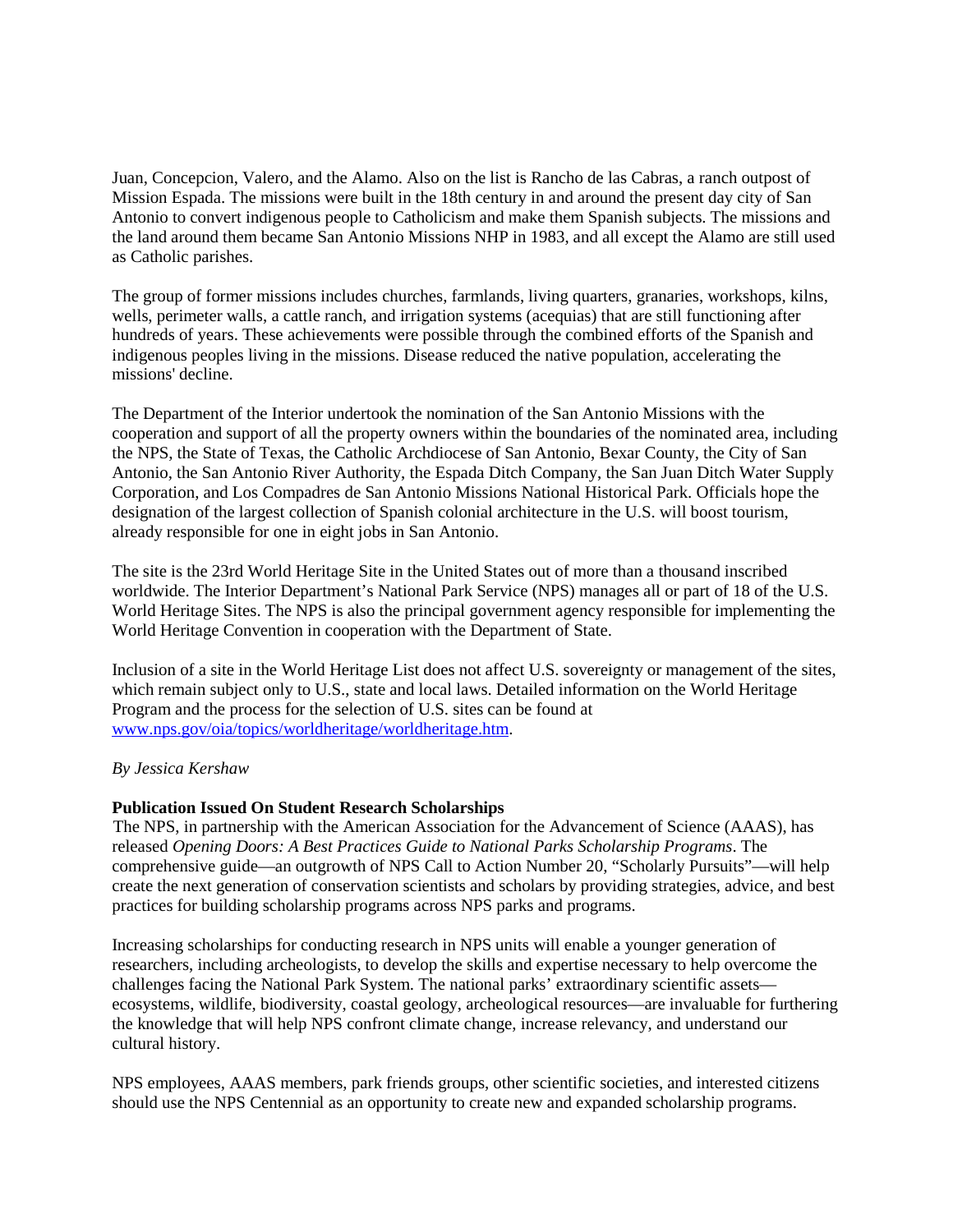Juan, Concepcion, Valero, and the Alamo. Also on the list is Rancho de las Cabras, a ranch outpost of Mission Espada. The missions were built in the 18th century in and around the present day city of San Antonio to convert indigenous people to Catholicism and make them Spanish subjects. The missions and the land around them became San Antonio Missions NHP in 1983, and all except the Alamo are still used as Catholic parishes.

The group of former missions includes churches, farmlands, living quarters, granaries, workshops, kilns, wells, perimeter walls, a cattle ranch, and irrigation systems (acequias) that are still functioning after hundreds of years. These achievements were possible through the combined efforts of the Spanish and indigenous peoples living in the missions. Disease reduced the native population, accelerating the missions' decline.

The Department of the Interior undertook the nomination of the San Antonio Missions with the cooperation and support of all the property owners within the boundaries of the nominated area, including the NPS, the State of Texas, the Catholic Archdiocese of San Antonio, Bexar County, the City of San Antonio, the San Antonio River Authority, the Espada Ditch Company, the San Juan Ditch Water Supply Corporation, and Los Compadres de San Antonio Missions National Historical Park. Officials hope the designation of the largest collection of Spanish colonial architecture in the U.S. will boost tourism, already responsible for one in eight jobs in San Antonio.

The site is the 23rd World Heritage Site in the United States out of more than a thousand inscribed worldwide. The Interior Department's National Park Service (NPS) manages all or part of 18 of the U.S. World Heritage Sites. The NPS is also the principal government agency responsible for implementing the World Heritage Convention in cooperation with the Department of State.

Inclusion of a site in the World Heritage List does not affect U.S. sovereignty or management of the sites, which remain subject only to U.S., state and local laws. Detailed information on the World Heritage Program and the process for the selection of U.S. sites can be found at [www.nps.gov/oia/topics/worldheritage/worldheritage.htm.](http://www.nps.gov/oia/topics/worldheritage/worldheritage.htm)

## *By Jessica Kershaw*

## **Publication Issued On Student Research Scholarships**

The NPS, in partnership with the American Association for the Advancement of Science (AAAS), has released *Opening Doors: A Best Practices Guide to National Parks Scholarship Programs*. The comprehensive guide—an outgrowth of NPS Call to Action Number 20, "Scholarly Pursuits"—will help create the next generation of conservation scientists and scholars by providing strategies, advice, and best practices for building scholarship programs across NPS parks and programs.

Increasing scholarships for conducting research in NPS units will enable a younger generation of researchers, including archeologists, to develop the skills and expertise necessary to help overcome the challenges facing the National Park System. The national parks' extraordinary scientific assets ecosystems, wildlife, biodiversity, coastal geology, archeological resources—are invaluable for furthering the knowledge that will help NPS confront climate change, increase relevancy, and understand our cultural history.

NPS employees, AAAS members, park friends groups, other scientific societies, and interested citizens should use the NPS Centennial as an opportunity to create new and expanded scholarship programs.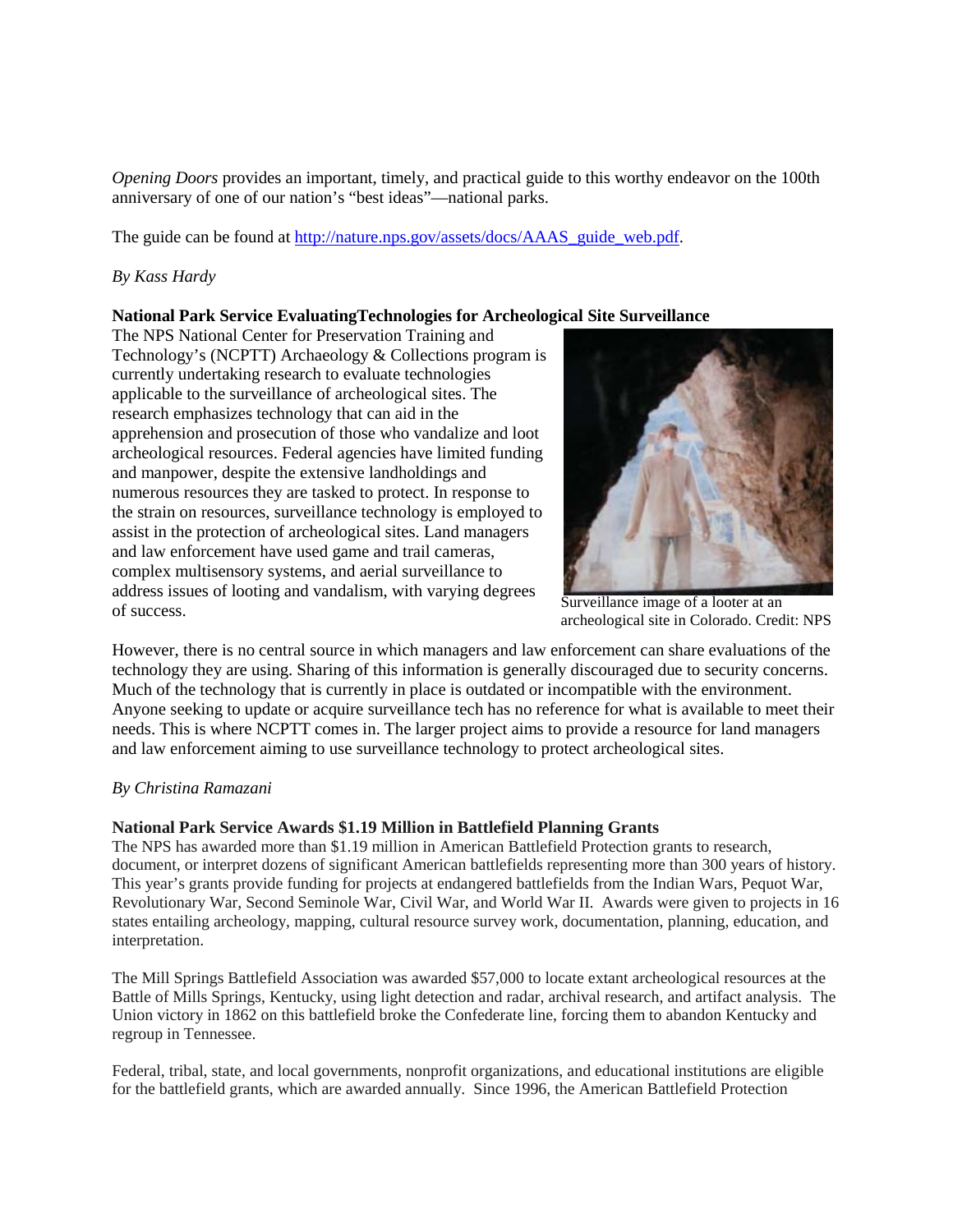*Opening Doors* provides an important, timely, and practical guide to this worthy endeavor on the 100th anniversary of one of our nation's "best ideas"—national parks.

The guide can be found at [http://nature.nps.gov/assets/docs/AAAS\\_guide\\_web.pdf.](http://nature.nps.gov/assets/docs/AAAS_guide_web.pdf)

# *By Kass Hardy*

#### **National Park Service EvaluatingTechnologies for Archeological Site Surveillance**

The NPS National Center for Preservation Training and Technology's (NCPTT) Archaeology & Collections program is currently undertaking research to evaluate technologies applicable to the surveillance of archeological sites. The research emphasizes technology that can aid in the apprehension and prosecution of those who vandalize and loot archeological resources. Federal agencies have limited funding and manpower, despite the extensive landholdings and numerous resources they are tasked to protect. In response to the strain on resources, surveillance technology is employed to assist in the protection of archeological sites. Land managers and law enforcement have used game and trail cameras, complex multisensory systems, and aerial surveillance to address issues of looting and vandalism, with varying degrees of success.



Surveillance image of a looter at an archeological site in Colorado. Credit: NPS

However, there is no central source in which managers and law enforcement can share evaluations of the technology they are using. Sharing of this information is generally discouraged due to security concerns. Much of the technology that is currently in place is outdated or incompatible with the environment. Anyone seeking to update or acquire surveillance tech has no reference for what is available to meet their needs. This is where NCPTT comes in. The larger project aims to provide a resource for land managers and law enforcement aiming to use surveillance technology to protect archeological sites.

## *By Christina Ramazani*

## **National Park Service Awards \$1.19 Million in Battlefield Planning Grants**

The NPS has awarded more than \$1.19 million in American Battlefield Protection grants to research, document, or interpret dozens of significant American battlefields representing more than 300 years of history. This year's grants provide funding for projects at endangered battlefields from the Indian Wars, Pequot War, Revolutionary War, Second Seminole War, Civil War, and World War II. Awards were given to projects in 16 states entailing archeology, mapping, cultural resource survey work, documentation, planning, education, and interpretation.

The Mill Springs Battlefield Association was awarded \$57,000 to locate extant archeological resources at the Battle of Mills Springs, Kentucky, using light detection and radar, archival research, and artifact analysis. The Union victory in 1862 on this battlefield broke the Confederate line, forcing them to abandon Kentucky and regroup in Tennessee.

Federal, tribal, state, and local governments, nonprofit organizations, and educational institutions are eligible for the battlefield grants, which are awarded annually. Since 1996, the American Battlefield Protection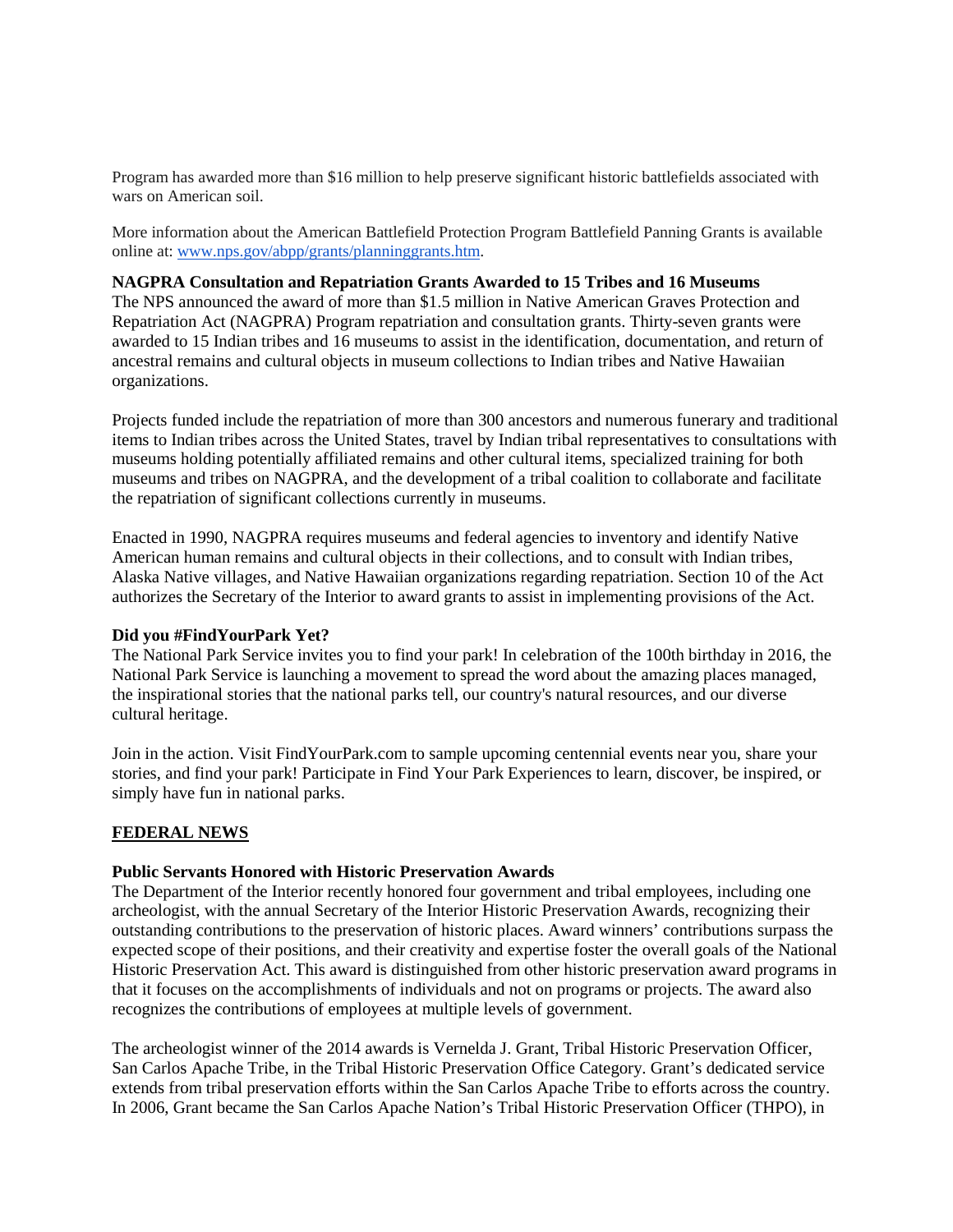Program has awarded more than \$16 million to help preserve significant historic battlefields associated with wars on American soil.

More information about the American Battlefield Protection Program Battlefield Panning Grants is available online at: [www.nps.gov/abpp/grants/planninggrants.htm.](http://www.nps.gov/abpp/grants/planninggrants.htm)

#### **NAGPRA Consultation and Repatriation Grants Awarded to 15 Tribes and 16 Museums**

The NPS announced the award of more than \$1.5 million in Native American Graves Protection and Repatriation Act (NAGPRA) Program repatriation and consultation grants. Thirty-seven grants were awarded to 15 Indian tribes and 16 museums to assist in the identification, documentation, and return of ancestral remains and cultural objects in museum collections to Indian tribes and Native Hawaiian organizations.

Projects funded include the repatriation of more than 300 ancestors and numerous funerary and traditional items to Indian tribes across the United States, travel by Indian tribal representatives to consultations with museums holding potentially affiliated remains and other cultural items, specialized training for both museums and tribes on NAGPRA, and the development of a tribal coalition to collaborate and facilitate the repatriation of significant collections currently in museums.

Enacted in 1990, NAGPRA requires museums and federal agencies to inventory and identify Native American human remains and cultural objects in their collections, and to consult with Indian tribes, Alaska Native villages, and Native Hawaiian organizations regarding repatriation. Section 10 of the Act authorizes the Secretary of the Interior to award grants to assist in implementing provisions of the Act.

#### **Did you #FindYourPark Yet?**

The National Park Service invites you to find your park! In celebration of the 100th birthday in 2016, the National Park Service is launching a movement to spread the word about the amazing places managed, the inspirational stories that the national parks tell, our country's natural resources, and our diverse cultural heritage.

Join in the action. Visit FindYourPark.com to sample upcoming centennial events near you, share your stories, and find your park! Participate in Find Your Park Experiences to learn, discover, be inspired, or simply have fun in national parks.

## **FEDERAL NEWS**

#### **Public Servants Honored with Historic Preservation Awards**

The Department of the Interior recently honored four government and tribal employees, including one archeologist, with the annual Secretary of the Interior Historic Preservation Awards, recognizing their outstanding contributions to the preservation of historic places. Award winners' contributions surpass the expected scope of their positions, and their creativity and expertise foster the overall goals of the National Historic Preservation Act. This award is distinguished from other historic preservation award programs in that it focuses on the accomplishments of individuals and not on programs or projects. The award also recognizes the contributions of employees at multiple levels of government.

The archeologist winner of the 2014 awards is Vernelda J. Grant, Tribal Historic Preservation Officer, San Carlos Apache Tribe, in the Tribal Historic Preservation Office Category. Grant's dedicated service extends from tribal preservation efforts within the San Carlos Apache Tribe to efforts across the country. In 2006, Grant became the San Carlos Apache Nation's Tribal Historic Preservation Officer (THPO), in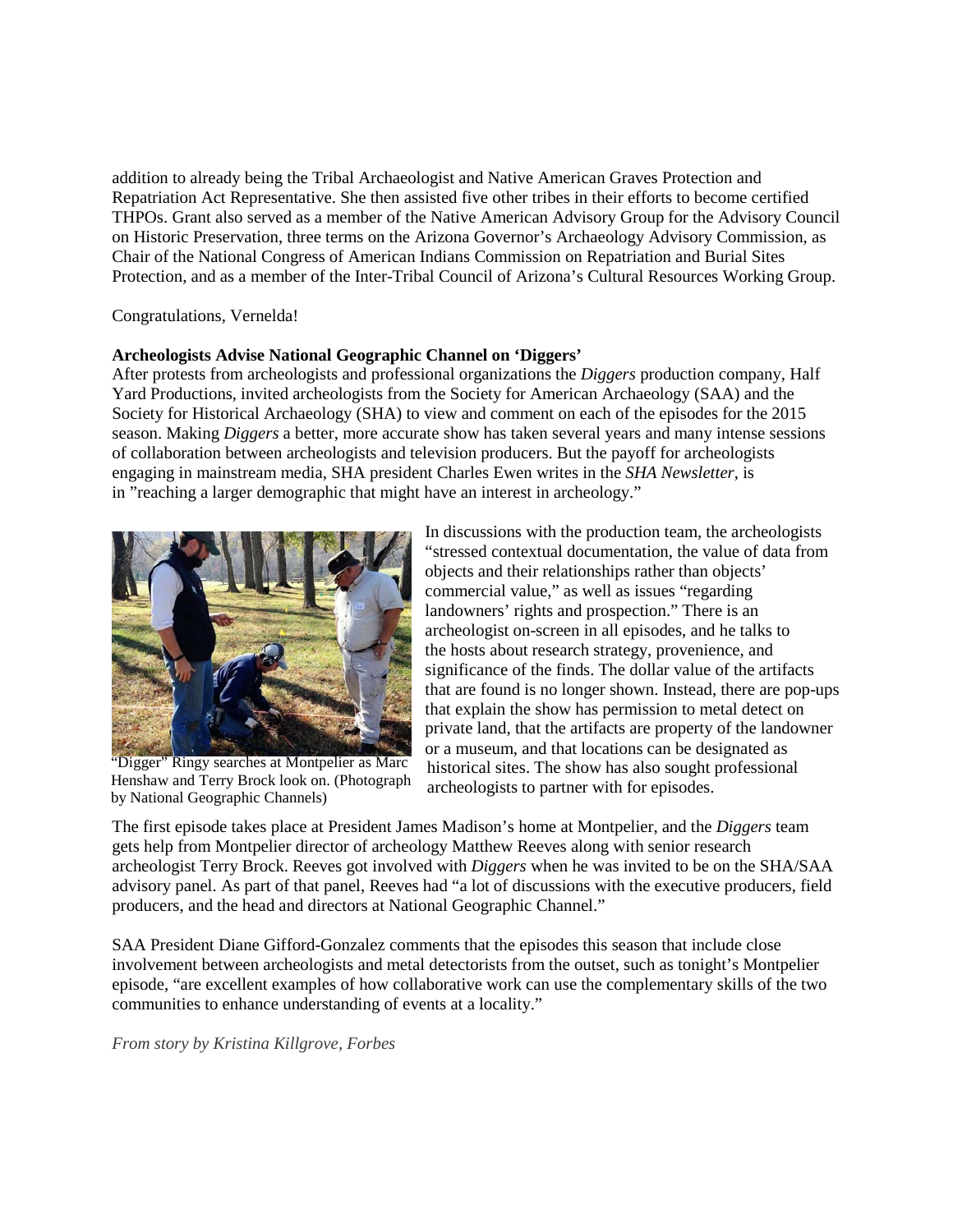addition to already being the Tribal Archaeologist and Native American Graves Protection and Repatriation Act Representative. She then assisted five other tribes in their efforts to become certified THPOs. Grant also served as a member of the Native American Advisory Group for the Advisory Council on Historic Preservation, three terms on the Arizona Governor's Archaeology Advisory Commission, as Chair of the National Congress of American Indians Commission on Repatriation and Burial Sites Protection, and as a member of the Inter-Tribal Council of Arizona's Cultural Resources Working Group.

#### Congratulations, Vernelda!

## **Archeologists Advise National Geographic Channel on 'Diggers'**

After protests from archeologists and professional organizations the *Diggers* production company, Half Yard Productions, invited archeologists from the Society for American Archaeology (SAA) and the Society for Historical Archaeology (SHA) to view and comment on each of the episodes for the 2015 season. Making *Diggers* a better, more accurate show has taken several years and many intense sessions of collaboration between archeologists and television producers. But the payoff for archeologists engaging in mainstream media, SHA president Charles Ewen writes in the *SHA Newsletter*, is in "reaching a larger demographic that might have an interest in archeology."



"Digger" Ringy searches at Montpelier as Marc Henshaw and Terry Brock look on. (Photograph by National Geographic Channels)

In discussions with the production team, the archeologists "stressed contextual documentation, the value of data from objects and their relationships rather than objects' commercial value," as well as issues "regarding landowners' rights and prospection." There is an archeologist on-screen in all episodes, and he talks to the hosts about research strategy, provenience, and significance of the finds. The dollar value of the artifacts that are found is no longer shown. Instead, there are pop-ups that explain the show has permission to metal detect on private land, that the artifacts are property of the landowner or a museum, and that locations can be designated as historical sites. The show has also sought professional archeologists to partner with for episodes.

The first episode takes place at President James Madison's home at Montpelier, and the *Diggers* team gets help from Montpelier director of archeology Matthew Reeves along with senior research archeologist Terry Brock. Reeves got involved with *Diggers* when he was invited to be on the SHA/SAA advisory panel. As part of that panel, Reeves had "a lot of discussions with the executive producers, field producers, and the head and directors at National Geographic Channel."

SAA President Diane Gifford-Gonzalez comments that the episodes this season that include close involvement between archeologists and metal detectorists from the outset, such as tonight's Montpelier episode, "are excellent examples of how collaborative work can use the complementary skills of the two communities to enhance understanding of events at a locality."

*From story by Kristina Killgrove, Forbes*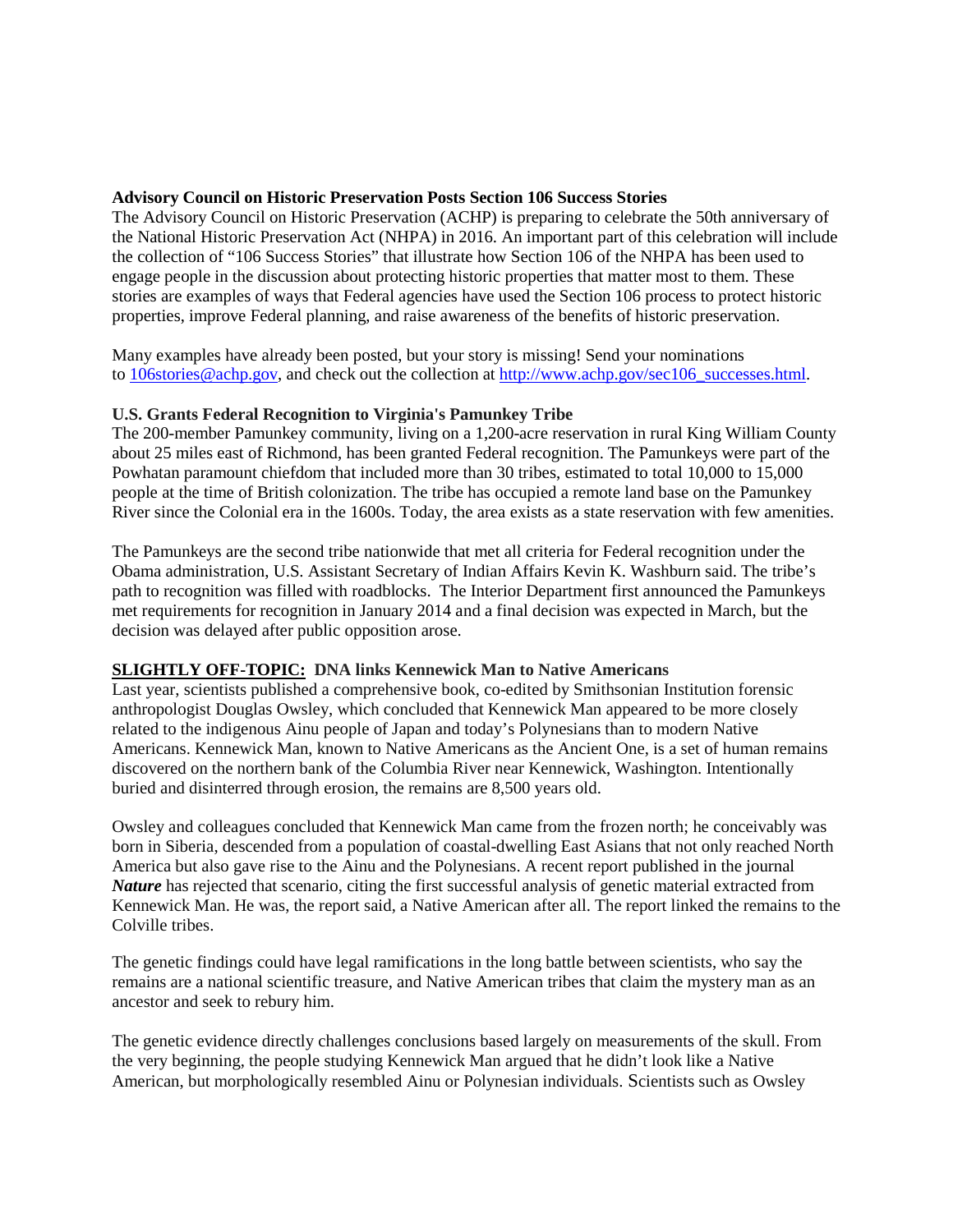## **Advisory Council on Historic Preservation Posts Section 106 Success Stories**

The Advisory Council on Historic Preservation (ACHP) is preparing to celebrate the 50th anniversary of the National Historic Preservation Act (NHPA) in 2016. An important part of this celebration will include the collection of "106 Success Stories" that illustrate how Section 106 of the NHPA has been used to engage people in the discussion about protecting historic properties that matter most to them. These stories are examples of ways that Federal agencies have used the Section 106 process to protect historic properties, improve Federal planning, and raise awareness of the benefits of historic preservation.

Many examples have already been posted, but your story is missing! Send your nominations to [106stories@achp.gov,](https://mail.google.com/mail/?view=cm&fs=1&tf=1&to=106stories@achp.gov) and check out the collection at http://www.achp.gov/sec106 successes.html.

#### **U.S. Grants Federal Recognition to Virginia's Pamunkey Tribe**

The 200-member Pamunkey community, living on a 1,200-acre reservation in rural King William County about 25 miles east of Richmond, has been granted Federal recognition. The Pamunkeys were part of the Powhatan paramount chiefdom that included more than 30 tribes, estimated to total 10,000 to 15,000 people at the time of British colonization. The tribe has occupied a remote land base on the Pamunkey River since the Colonial era in the 1600s. Today, the area exists as a state reservation with few amenities.

The Pamunkeys are the second tribe nationwide that met all criteria for Federal recognition under the Obama administration, U.S. Assistant Secretary of Indian Affairs Kevin K. Washburn said. The tribe's path to recognition was filled with roadblocks. The Interior Department first announced the Pamunkeys met requirements for recognition in January 2014 and a final decision was expected in March, but the decision was delayed after public opposition arose.

## **SLIGHTLY OFF-TOPIC: DNA links Kennewick Man to Native Americans**

Last year, scientists published a comprehensive book, co-edited by Smithsonian Institution forensic anthropologist Douglas Owsley, which concluded that Kennewick Man appeared to be more closely related to the indigenous Ainu people of Japan and today's Polynesians than to modern Native Americans. Kennewick Man, known to Native Americans as the Ancient One, is a set of human remains discovered on the northern bank of the Columbia River near Kennewick, Washington. Intentionally buried and disinterred through erosion, the remains are 8,500 years old.

Owsley and colleagues concluded that Kennewick Man came from the frozen north; he conceivably was born in Siberia, descended from a population of coastal-dwelling East Asians that not only reached North America but also gave rise to the Ainu and the Polynesians. A recent report published in the journal *Nature* has rejected that scenario, citing the first successful analysis of genetic material extracted from Kennewick Man. He was, the report said, a Native American after all. The report linked the remains to the Colville tribes.

The genetic findings could have legal ramifications in the long battle between scientists, who say the remains are a national scientific treasure, and Native American tribes that claim the mystery man as an ancestor and seek to rebury him.

The genetic evidence directly challenges conclusions based largely on measurements of the skull. From the very beginning, the people studying Kennewick Man argued that he didn't look like a Native American, but morphologically resembled Ainu or Polynesian individuals. Scientists such as Owsley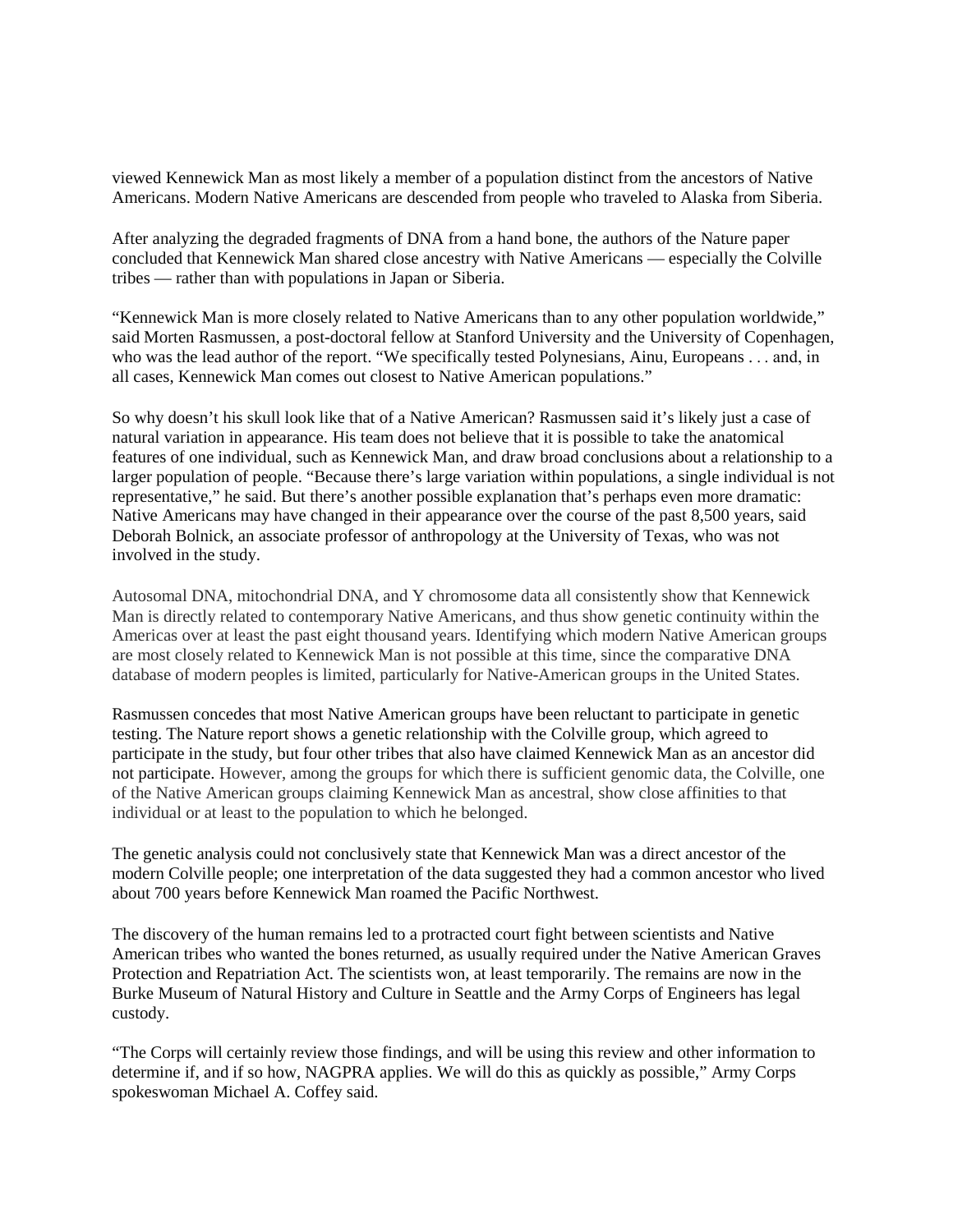viewed Kennewick Man as most likely a member of a population distinct from the ancestors of Native Americans. Modern Native Americans are descended from people who traveled to Alaska from Siberia.

After analyzing the degraded fragments of DNA from a hand bone, the authors of the Nature paper concluded that Kennewick Man shared close ancestry with Native Americans — especially the Colville tribes — rather than with populations in Japan or Siberia.

"Kennewick Man is more closely related to Native Americans than to any other population worldwide," said Morten Rasmussen, a post-doctoral fellow at Stanford University and the University of Copenhagen, who was the lead author of the report. "We specifically tested Polynesians, Ainu, Europeans . . . and, in all cases, Kennewick Man comes out closest to Native American populations."

So why doesn't his skull look like that of a Native American? Rasmussen said it's likely just a case of natural variation in appearance. His team does not believe that it is possible to take the anatomical features of one individual, such as Kennewick Man, and draw broad conclusions about a relationship to a larger population of people. "Because there's large variation within populations, a single individual is not representative," he said. But there's another possible explanation that's perhaps even more dramatic: Native Americans may have changed in their appearance over the course of the past 8,500 years, said Deborah Bolnick, an associate professor of anthropology at the University of Texas, who was not involved in the study.

Autosomal DNA, mitochondrial DNA, and Y chromosome data all consistently show that Kennewick Man is directly related to contemporary Native Americans, and thus show genetic continuity within the Americas over at least the past eight thousand years. Identifying which modern Native American groups are most closely related to Kennewick Man is not possible at this time, since the comparative DNA database of modern peoples is limited, particularly for Native-American groups in the United States.

Rasmussen concedes that most Native American groups have been reluctant to participate in genetic testing. The Nature report shows a genetic relationship with the Colville group, which agreed to participate in the study, but four other tribes that also have claimed Kennewick Man as an ancestor did not participate. However, among the groups for which there is sufficient genomic data, the Colville, one of the Native American groups claiming Kennewick Man as ancestral, show close affinities to that individual or at least to the population to which he belonged.

The genetic analysis could not conclusively state that Kennewick Man was a direct ancestor of the modern Colville people; one interpretation of the data suggested they had a common ancestor who lived about 700 years before Kennewick Man roamed the Pacific Northwest.

The discovery of the human remains led to a protracted court fight between scientists and Native American tribes who wanted the bones returned, as usually required under the Native American Graves Protection and Repatriation Act. The scientists won, at least temporarily. The remains are now in the Burke Museum of Natural History and Culture in Seattle and the Army Corps of Engineers has legal custody.

"The Corps will certainly review those findings, and will be using this review and other information to determine if, and if so how, NAGPRA applies. We will do this as quickly as possible," Army Corps spokeswoman Michael A. Coffey said.